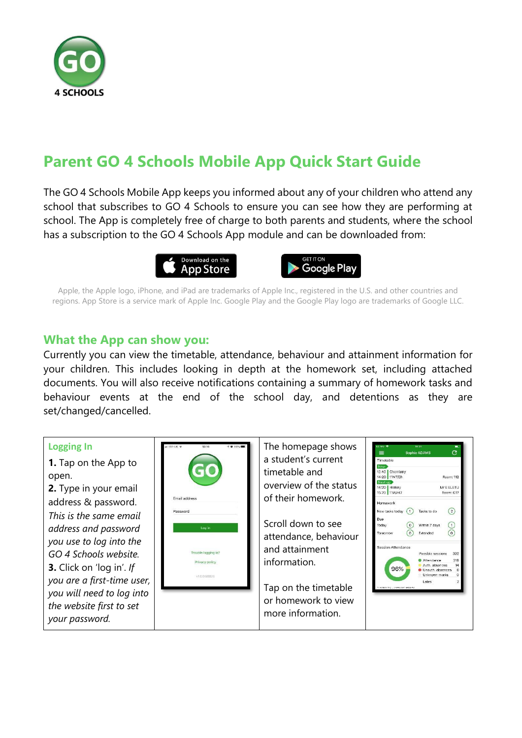

# **Parent GO 4 Schools Mobile App Quick Start Guide**

The GO 4 Schools Mobile App keeps you informed about any of your children who attend any school that subscribes to GO 4 Schools to ensure you can see how they are performing at school. The App is completely free of charge to both parents and students, where the school has a subscription to the GO 4 Schools App module and can be downloaded from:





Apple, the Apple logo, iPhone, and iPad are trademarks of Apple Inc., registered in the U.S. and other countries and regions. App Store is a service mark of Apple Inc. Google Play and the Google Play logo are trademarks of Google LLC.

## **What the App can show you:**

Currently you can view the timetable, attendance, behaviour and attainment information for your children. This includes looking in depth at the homework set, including attached documents. You will also receive notifications containing a summary of homework tasks and behaviour events at the end of the school day, and detentions as they are set/changed/cancelled.

#### **Logging In** The homepage shows  $\bar{c}$  $\equiv$ a student's current Timetable **1.** Tap on the App to timetable and 12:40 Chemistry<br>14:20 11NT/Ch open. Room: 112 Next up<br>14:20 History<br>15:20 11W/Hi2 overview of the status **2.** Type in your email Mr E ELETU Room: G17 of their homework. Email address address & password. Homework  $\odot$ New tasks today (1) Tasks to do *This is the same email*  Due Scroll down to see  $\odot$  $\circledcirc$  Within 7 days Today *address and password*  C Extended Tomorrow attendance, behaviour *you use to log into the*  and attainment **Session Attendance** Possible sessions 332 *GO 4 Schools website.* Trouble logging in? information. Attendance Privacy policy Auth. absences **3.** Click on 'log in'. *If*  96% Unauth, absences v1.0.0.68826 Unknown marks *you are a first-time user,*  Lates Tap on the timetable *you will need to log into*  or homework to view *the website first to set*  more information.*your password.*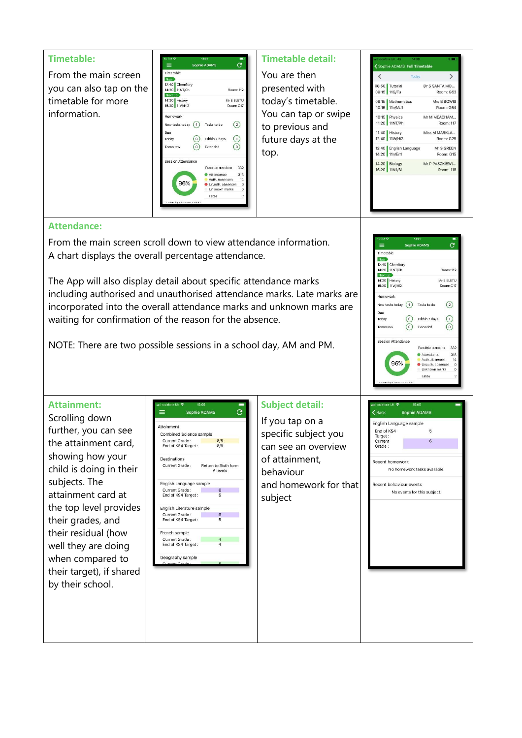

From the main screen scroll down to view attendance information. A chart displays the overall percentage attendance.

The App will also display detail about specific attendance marks including authorised and unauthorised attendance marks. Late marks are incorporated into the overall attendance marks and unknown marks are waiting for confirmation of the reason for the absence.

NOTE: There are two possible sessions in a school day, AM and PM.

### $\bar{c}$ 12:40 Chemistry<br>14:20 11NT/Ch Room: 112 14:20 History<br>15:20 11W/Hi2 Mr E ELETI Room: G1 tomework New tasks today  $\bigcirc$  Tasks to do  $\odot$ Due  $\odot$ (a) Within 7 days Today  $\odot$  $\odot$ Extended ession Attendance Possible sessions 332 ● Attendance<br>● Auth. absences<br>● Unauth. absences<br>● Unknown marks 318 96% Lates

### **Attainment:**

Scrolling down further, you can see the attainment card, showing how your child is doing in their subjects. The attainment card at the top level provides their grades, and their residual (how well they are doing when compared to their target), if shared by their school.



## **Subject detail:**

If you tap on a specific subject you can see an overview of attainment, behaviour and homework for that subject

| l DdCK                | <b>SUPLILE ADAMS</b>         |  |
|-----------------------|------------------------------|--|
|                       | English Language sample      |  |
| End of KS4<br>Target: | 5                            |  |
| Current<br>Grade:     | 6                            |  |
| Recent homework       |                              |  |
|                       | No homework tasks available. |  |
|                       | Recent behaviour events      |  |
|                       | No events for this subject.  |  |
|                       |                              |  |
|                       |                              |  |
|                       |                              |  |